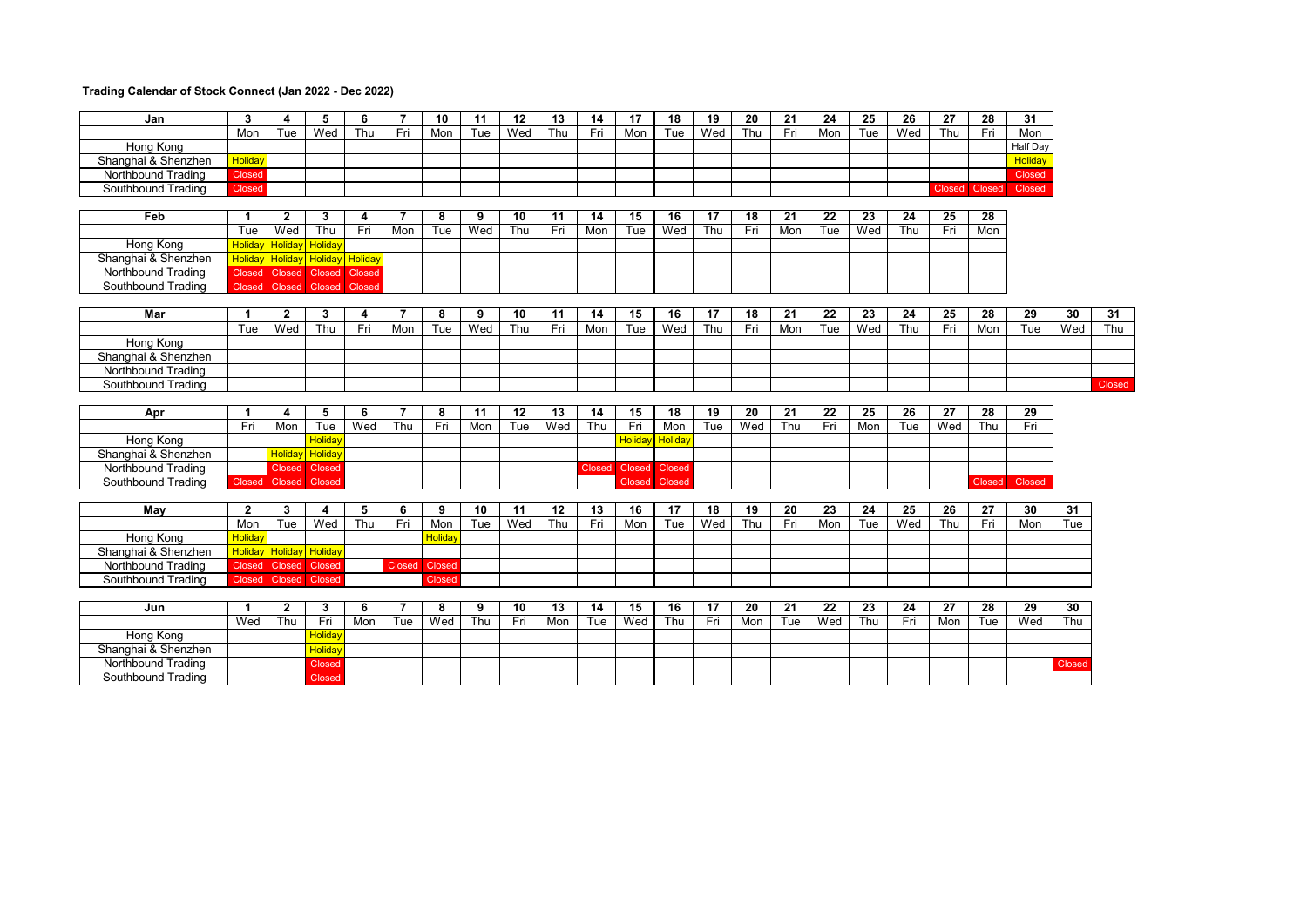## **Trading Calendar of Stock Connect (Jan 2022 - Dec 2022)**

| Jan                 | $\mathbf{3}$         | 4              | 5                              | 6             | $\overline{7}$ | 10      | 11  | 12  | 13  | 14            | 17             | 18              | 19              | 20  | 21  | 24  | 25  | 26  | 27  | 28              | 31            |        |        |
|---------------------|----------------------|----------------|--------------------------------|---------------|----------------|---------|-----|-----|-----|---------------|----------------|-----------------|-----------------|-----|-----|-----|-----|-----|-----|-----------------|---------------|--------|--------|
|                     | Mon                  | Tue            | Wed                            | Thu           | Fri            | Mon     | Tue | Wed | Thu | Fri           | Mon            | Tue             | Wed             | Thu | Fri | Mon | Tue | Wed | Thu | Fri             | Mon           |        |        |
| Hong Kong           |                      |                |                                |               |                |         |     |     |     |               |                |                 |                 |     |     |     |     |     |     |                 | Half Day      |        |        |
| Shanghai & Shenzhen | <b>Holiday</b>       |                |                                |               |                |         |     |     |     |               |                |                 |                 |     |     |     |     |     |     |                 | Holiday       |        |        |
| Northbound Trading  | Closed               |                |                                |               |                |         |     |     |     |               |                |                 |                 |     |     |     |     |     |     |                 | Closed        |        |        |
| Southbound Trading  | Closed               |                |                                |               |                |         |     |     |     |               |                |                 |                 |     |     |     |     |     |     | Closed Closed   | <b>Closed</b> |        |        |
|                     |                      |                |                                |               |                |         |     |     |     |               |                |                 |                 |     |     |     |     |     |     |                 |               |        |        |
| Feb                 | -1                   | $\mathbf{2}$   | 3                              | 4             | 7              | 8       | 9   | 10  | 11  | 14            | 15             | 16              | 17              | 18  | 21  | 22  | 23  | 24  | 25  | 28              |               |        |        |
|                     | Tue                  | Wed            | Thu                            | Fri           | Mon            | Tue     | Wed | Thu | Fri | Mon           | Tue            | Wed             | Thu             | Fri | Mon | Tue | Wed | Thu | Fri | Mon             |               |        |        |
| Hong Kong           | <b>Holiday</b>       | <b>Holida</b>  | <b>Holiday</b>                 |               |                |         |     |     |     |               |                |                 |                 |     |     |     |     |     |     |                 |               |        |        |
| Shanghai & Shenzhen | <b>Holidav</b>       |                | <b>Holiday</b> Holiday Holiday |               |                |         |     |     |     |               |                |                 |                 |     |     |     |     |     |     |                 |               |        |        |
| Northbound Trading  | <b>Closed</b>        |                | Closed Closed                  | <b>Closed</b> |                |         |     |     |     |               |                |                 |                 |     |     |     |     |     |     |                 |               |        |        |
| Southbound Trading  |                      | Closed Closed  | <b>Closed</b>                  | Closed        |                |         |     |     |     |               |                |                 |                 |     |     |     |     |     |     |                 |               |        |        |
|                     |                      |                |                                |               |                |         |     |     |     |               |                |                 |                 |     |     |     |     |     |     |                 |               |        |        |
| <b>Mar</b>          | 1                    | $\mathbf{2}$   | 3                              | 4             | $\overline{7}$ | 8       | 9   | 10  | 11  | 14            | 15             | 16              | 17              | 18  | 21  | 22  | 23  | 24  | 25  | 28              | 29            | 30     | 31     |
|                     | Tue                  | Wed            | Thu                            | Fri           | Mon            | Tue     | Wed | Thu | Fri | Mon           | Tue            | Wed             | Thu             | Fri | Mon | Tue | Wed | Thu | Fri | Mon             | Tue           | Wed    | Thu    |
| <b>Hong Kong</b>    |                      |                |                                |               |                |         |     |     |     |               |                |                 |                 |     |     |     |     |     |     |                 |               |        |        |
| Shanghai & Shenzhen |                      |                |                                |               |                |         |     |     |     |               |                |                 |                 |     |     |     |     |     |     |                 |               |        |        |
| Northbound Trading  |                      |                |                                |               |                |         |     |     |     |               |                |                 |                 |     |     |     |     |     |     |                 |               |        |        |
| Southbound Trading  |                      |                |                                |               |                |         |     |     |     |               |                |                 |                 |     |     |     |     |     |     |                 |               |        | Closed |
|                     |                      |                |                                |               |                |         |     |     |     |               |                |                 |                 |     |     |     |     |     |     |                 |               |        |        |
| Apr                 | $\mathbf{1}$         | 4              | 5                              | 6             | $\overline{7}$ | 8       | 11  | 12  | 13  | 14            | 15             | $\overline{18}$ | $\overline{19}$ | 20  | 21  | 22  | 25  | 26  | 27  | 28              | 29            |        |        |
|                     | Fri                  | Mon            | Tue                            | Wed           | Thu            | Fri     | Mon | Tue | Wed | Thu           | Fri            | Mon             | Tue             | Wed | Thu | Fri | Mon | Tue | Wed | Thu             | Fri           |        |        |
| Hong Kong           |                      |                | <b>Holiday</b>                 |               |                |         |     |     |     |               | <b>Holidav</b> | Holiday         |                 |     |     |     |     |     |     |                 |               |        |        |
| Shanghai & Shenzhen |                      | Holidav        | Holiday                        |               |                |         |     |     |     |               |                |                 |                 |     |     |     |     |     |     |                 |               |        |        |
| Northbound Trading  |                      | <b>Closed</b>  | Closed                         |               |                |         |     |     |     | <b>Closed</b> | Closed Closed  |                 |                 |     |     |     |     |     |     |                 |               |        |        |
| Southbound Trading  | Closed Closed Closed |                |                                |               |                |         |     |     |     |               | <b>Closed</b>  | Closed          |                 |     |     |     |     |     |     | <b>Closed</b>   | <b>Closed</b> |        |        |
|                     |                      |                |                                |               |                |         |     |     |     |               |                |                 |                 |     |     |     |     |     |     |                 |               |        |        |
| May                 | $\overline{2}$       | 3              | 4                              | 5             | 6              |         |     |     |     |               |                |                 |                 |     |     |     |     |     |     |                 | 30            | 31     |        |
|                     |                      |                |                                |               |                | 9       | 10  | 11  | 12  | 13            | 16             | $\overline{17}$ | 18              | 19  | 20  | 23  | 24  | 25  | 26  | $\overline{27}$ |               |        |        |
|                     | Mon                  | Tue            | Wed                            | Thu           | Fri            | Mon     | Tue | Wed | Thu | Fri           | Mon            | Tue             | Wed             | Thu | Fri | Mon | Tue | Wed | Thu | Fri             | Mon           | Tue    |        |
| Hong Kong           | Holiday              |                |                                |               |                | Holiday |     |     |     |               |                |                 |                 |     |     |     |     |     |     |                 |               |        |        |
| Shanghai & Shenzhen | <b>Holidav</b>       | <b>Holidav</b> | Holiday                        |               |                |         |     |     |     |               |                |                 |                 |     |     |     |     |     |     |                 |               |        |        |
| Northbound Trading  | <b>Closed</b>        | Closed         | Closed                         |               | <b>Closed</b>  | Closed  |     |     |     |               |                |                 |                 |     |     |     |     |     |     |                 |               |        |        |
| Southbound Trading  | <b>Closed</b>        | <b>Closed</b>  | Closed                         |               |                | Closed  |     |     |     |               |                |                 |                 |     |     |     |     |     |     |                 |               |        |        |
|                     |                      |                |                                |               |                |         |     |     |     |               |                |                 |                 |     |     |     |     |     |     |                 |               |        |        |
| Jun                 | 1                    | $\overline{2}$ | 3                              | 6             | 7              | 8       | 9   | 10  | 13  | 14            | 15             | 16              | 17              | 20  | 21  | 22  | 23  | 24  | 27  | 28              | 29            | 30     |        |
|                     | Wed                  | Thu            | Fri                            | Mon           | Tue            | Wed     | Thu | Fri | Mon | Tue           | Wed            | Thu             | Fri             | Mon | Tue | Wed | Thu | Fri | Mon | Tue             | Wed           | Thu    |        |
| Hong Kong           |                      |                | <b>Holiday</b>                 |               |                |         |     |     |     |               |                |                 |                 |     |     |     |     |     |     |                 |               |        |        |
| Shanghai & Shenzhen |                      |                | <b>Holiday</b>                 |               |                |         |     |     |     |               |                |                 |                 |     |     |     |     |     |     |                 |               |        |        |
| Northbound Trading  |                      |                | Closed                         |               |                |         |     |     |     |               |                |                 |                 |     |     |     |     |     |     |                 |               | Closed |        |